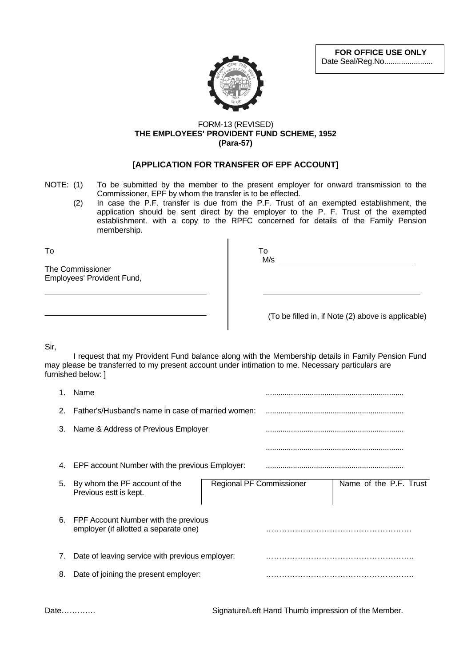**FOR OFFICE USE ONLY** Date Seal/Reg.No.......................



## FORM-13 (REVISED) **THE EMPLOYEES' PROVIDENT FUND SCHEME, 1952 (Para-57)**

## **[APPLICATION FOR TRANSFER OF EPF ACCOUNT]**

- NOTE: (1) To be submitted by the member to the present employer for onward transmission to the Commissioner, EPF by whom the transfer is to be effected.
	- (2) In case the P.F. transfer is due from the P.F. Trust of an exempted establishment, the application should be sent direct by the employer to the P. F. Trust of the exempted establishment. with a copy to the RPFC concerned for details of the Family Pension membership.

To To

The Commissioner Employees' Provident Fund,

| To  |  |  |  |
|-----|--|--|--|
| M/s |  |  |  |

(To be filled in, if Note (2) above is applicable)

Sir,

I request that my Provident Fund balance along with the Membership details in Family Pension Fund may please be transferred to my present account under intimation to me. Necessary particulars are furnished below: ]

|    | Name                                                                          |                                 |  |                        |  |
|----|-------------------------------------------------------------------------------|---------------------------------|--|------------------------|--|
| 2  | Father's/Husband's name in case of married women:                             |                                 |  |                        |  |
| 3. | Name & Address of Previous Employer                                           |                                 |  |                        |  |
|    |                                                                               |                                 |  |                        |  |
| 4. | EPF account Number with the previous Employer:                                |                                 |  |                        |  |
| 5. | By whom the PF account of the<br>Previous estt is kept.                       | <b>Regional PF Commissioner</b> |  | Name of the P.F. Trust |  |
| 6. | FPF Account Number with the previous<br>employer (if allotted a separate one) |                                 |  |                        |  |
| 7. | Date of leaving service with previous employer:                               |                                 |  |                        |  |
| 8. | Date of joining the present employer:                                         |                                 |  |                        |  |
|    |                                                                               |                                 |  |                        |  |

Date…………. Signature/Left Hand Thumb impression of the Member.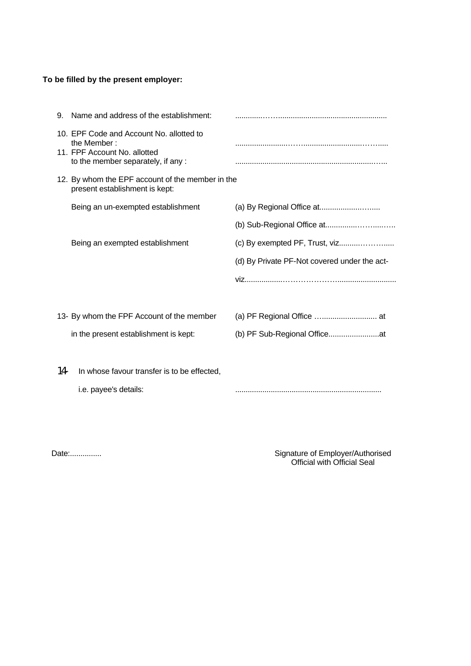## **To be filled by the present employer:**

| 9.    | Name and address of the establishment:                                                                                       |                                              |  |  |
|-------|------------------------------------------------------------------------------------------------------------------------------|----------------------------------------------|--|--|
|       | 10. EPF Code and Account No. allotted to<br>the Member:<br>11. FPF Account No. allotted<br>to the member separately, if any: |                                              |  |  |
|       | 12. By whom the EPF account of the member in the<br>present establishment is kept:                                           |                                              |  |  |
|       | Being an un-exempted establishment                                                                                           |                                              |  |  |
|       |                                                                                                                              |                                              |  |  |
|       | Being an exempted establishment                                                                                              |                                              |  |  |
|       |                                                                                                                              | (d) By Private PF-Not covered under the act- |  |  |
|       |                                                                                                                              |                                              |  |  |
|       |                                                                                                                              |                                              |  |  |
|       | 13- By whom the FPF Account of the member                                                                                    |                                              |  |  |
|       | in the present establishment is kept:                                                                                        |                                              |  |  |
|       |                                                                                                                              |                                              |  |  |
| $14-$ | In whose favour transfer is to be effected,                                                                                  |                                              |  |  |
|       | i.e. payee's details:                                                                                                        |                                              |  |  |

Date:............... Signature of Employer/Authorised Official with Official Seal